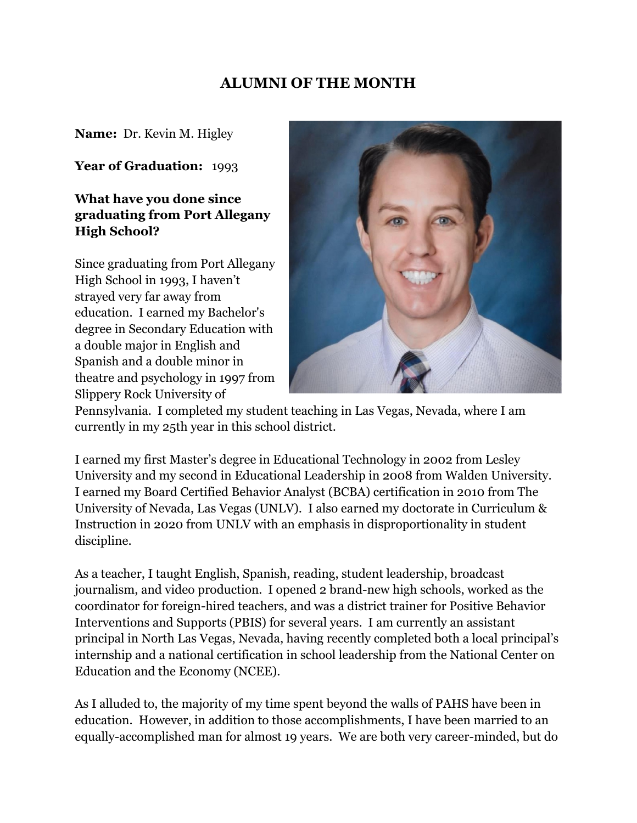# **ALUMNI OF THE MONTH**

**Name:** Dr. Kevin M. Higley

**Year of Graduation:** 1993

## **What have you done since graduating from Port Allegany High School?**

Since graduating from Port Allegany High School in 1993, I haven't strayed very far away from education. I earned my Bachelor's degree in Secondary Education with a double major in English and Spanish and a double minor in theatre and psychology in 1997 from Slippery Rock University of



Pennsylvania. I completed my student teaching in Las Vegas, Nevada, where I am currently in my 25th year in this school district.

I earned my first Master's degree in Educational Technology in 2002 from Lesley University and my second in Educational Leadership in 2008 from Walden University. I earned my Board Certified Behavior Analyst (BCBA) certification in 2010 from The University of Nevada, Las Vegas (UNLV). I also earned my doctorate in Curriculum & Instruction in 2020 from UNLV with an emphasis in disproportionality in student discipline.

As a teacher, I taught English, Spanish, reading, student leadership, broadcast journalism, and video production. I opened 2 brand-new high schools, worked as the coordinator for foreign-hired teachers, and was a district trainer for Positive Behavior Interventions and Supports (PBIS) for several years. I am currently an assistant principal in North Las Vegas, Nevada, having recently completed both a local principal's internship and a national certification in school leadership from the National Center on Education and the Economy (NCEE).

As I alluded to, the majority of my time spent beyond the walls of PAHS have been in education. However, in addition to those accomplishments, I have been married to an equally-accomplished man for almost 19 years. We are both very career-minded, but do